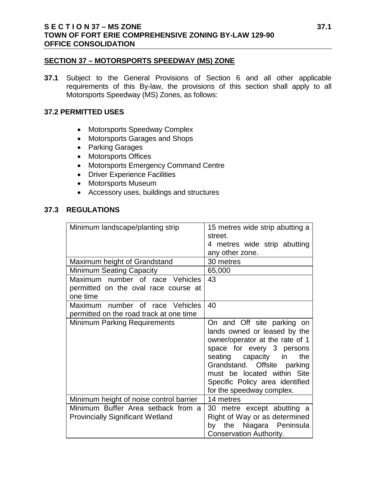#### **SECTION 37 – MOTORSPORTS SPEEDWAY (MS) ZONE**

**37.1** Subject to the General Provisions of Section 6 and all other applicable requirements of this By-law, the provisions of this section shall apply to all Motorsports Speedway (MS) Zones, as follows:

#### **37.2 PERMITTED USES**

- Motorsports Speedway Complex
- Motorsports Garages and Shops
- Parking Garages
- Motorsports Offices
- Motorsports Emergency Command Centre
- Driver Experience Facilities
- Motorsports Museum
- Accessory uses, buildings and structures

## **37.3 REGULATIONS**

| Minimum landscape/planting strip                                                    | 15 metres wide strip abutting a<br>street.<br>4 metres wide strip abutting<br>any other zone.                                                                                                                                                                                          |  |  |  |  |
|-------------------------------------------------------------------------------------|----------------------------------------------------------------------------------------------------------------------------------------------------------------------------------------------------------------------------------------------------------------------------------------|--|--|--|--|
| Maximum height of Grandstand                                                        | 30 metres                                                                                                                                                                                                                                                                              |  |  |  |  |
| Minimum Seating Capacity                                                            | 65,000                                                                                                                                                                                                                                                                                 |  |  |  |  |
| Maximum number of race Vehicles<br>permitted on the oval race course at<br>one time | 43                                                                                                                                                                                                                                                                                     |  |  |  |  |
| Maximum number of race Vehicles<br>permitted on the road track at one time          | 40                                                                                                                                                                                                                                                                                     |  |  |  |  |
| <b>Minimum Parking Requirements</b>                                                 | On and Off site parking on<br>lands owned or leased by the<br>owner/operator at the rate of 1<br>space for every 3 persons<br>seating capacity in<br>the<br>Grandstand. Offsite parking<br>must be located within Site<br>Specific Policy area identified<br>for the speedway complex. |  |  |  |  |
| Minimum height of noise control barrier                                             | 14 metres                                                                                                                                                                                                                                                                              |  |  |  |  |
| Minimum Buffer Area setback from a<br><b>Provincially Significant Wetland</b>       | 30 metre except abutting a<br>Right of Way or as determined<br>the Niagara Peninsula<br>by<br><b>Conservation Authority.</b>                                                                                                                                                           |  |  |  |  |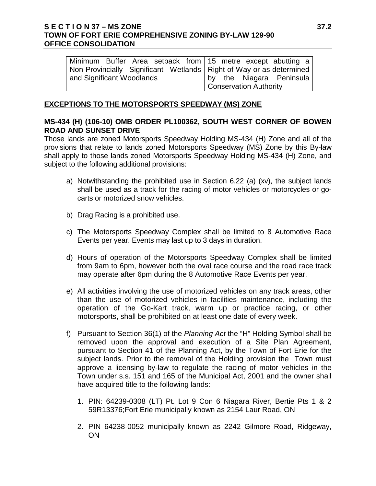## **S E C T I O N 37 – MS ZONE 37.2 TOWN OF FORT ERIE COMPREHENSIVE ZONING BY-LAW 129-90 OFFICE CONSOLIDATION**

| Minimum Buffer Area setback from 15 metre except abutting a           |  |  |  |  |                        |  |                          |  |  |  |
|-----------------------------------------------------------------------|--|--|--|--|------------------------|--|--------------------------|--|--|--|
| Non-Provincially Significant Wetlands   Right of Way or as determined |  |  |  |  |                        |  |                          |  |  |  |
| and Significant Woodlands                                             |  |  |  |  |                        |  | by the Niagara Peninsula |  |  |  |
|                                                                       |  |  |  |  | Conservation Authority |  |                          |  |  |  |

### **EXCEPTIONS TO THE MOTORSPORTS SPEEDWAY (MS) ZONE**

## **MS-434 (H) (106-10) OMB ORDER PL100362, SOUTH WEST CORNER OF BOWEN ROAD AND SUNSET DRIVE**

Those lands are zoned Motorsports Speedway Holding MS-434 (H) Zone and all of the provisions that relate to lands zoned Motorsports Speedway (MS) Zone by this By-law shall apply to those lands zoned Motorsports Speedway Holding MS-434 (H) Zone, and subject to the following additional provisions:

- a) Notwithstanding the prohibited use in Section 6.22 (a) (xv), the subject lands shall be used as a track for the racing of motor vehicles or motorcycles or gocarts or motorized snow vehicles.
- b) Drag Racing is a prohibited use.
- c) The Motorsports Speedway Complex shall be limited to 8 Automotive Race Events per year. Events may last up to 3 days in duration.
- d) Hours of operation of the Motorsports Speedway Complex shall be limited from 9am to 6pm, however both the oval race course and the road race track may operate after 6pm during the 8 Automotive Race Events per year.
- e) All activities involving the use of motorized vehicles on any track areas, other than the use of motorized vehicles in facilities maintenance, including the operation of the Go-Kart track, warm up or practice racing, or other motorsports, shall be prohibited on at least one date of every week.
- f) Pursuant to Section 36(1) of the *Planning Act* the "H" Holding Symbol shall be removed upon the approval and execution of a Site Plan Agreement, pursuant to Section 41 of the Planning Act, by the Town of Fort Erie for the subject lands. Prior to the removal of the Holding provision the Town must approve a licensing by-law to regulate the racing of motor vehicles in the Town under s.s. 151 and 165 of the Municipal Act, 2001 and the owner shall have acquired title to the following lands:
	- 1. PIN: 64239-0308 (LT) Pt. Lot 9 Con 6 Niagara River, Bertie Pts 1 & 2 59R13376;Fort Erie municipally known as 2154 Laur Road, ON
	- 2. PIN 64238-0052 municipally known as 2242 Gilmore Road, Ridgeway, **ON**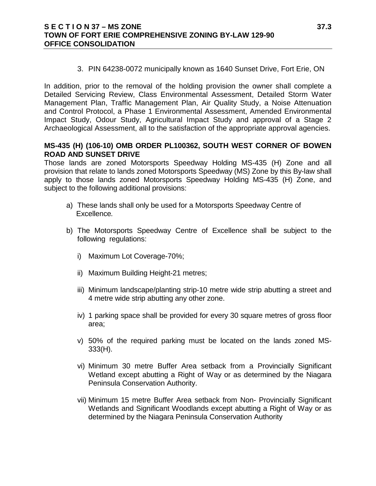### **S E C T I O N 37 – MS ZONE 37.3 TOWN OF FORT ERIE COMPREHENSIVE ZONING BY-LAW 129-90 OFFICE CONSOLIDATION**

3. PIN 64238-0072 municipally known as 1640 Sunset Drive, Fort Erie, ON

In addition, prior to the removal of the holding provision the owner shall complete a Detailed Servicing Review, Class Environmental Assessment, Detailed Storm Water Management Plan, Traffic Management Plan, Air Quality Study, a Noise Attenuation and Control Protocol, a Phase 1 Environmental Assessment, Amended Environmental Impact Study, Odour Study, Agricultural Impact Study and approval of a Stage 2 Archaeological Assessment, all to the satisfaction of the appropriate approval agencies.

## **MS-435 (H) (106-10) OMB ORDER PL100362, SOUTH WEST CORNER OF BOWEN ROAD AND SUNSET DRIVE**

Those lands are zoned Motorsports Speedway Holding MS-435 (H) Zone and all provision that relate to lands zoned Motorsports Speedway (MS) Zone by this By-law shall apply to those lands zoned Motorsports Speedway Holding MS-435 (H) Zone, and subject to the following additional provisions:

- a) These lands shall only be used for a Motorsports Speedway Centre of Excellence*.*
- b) The Motorsports Speedway Centre of Excellence shall be subject to the following regulations:
	- i) Maximum Lot Coverage-70%;
	- ii) Maximum Building Height-21 metres;
	- iii) Minimum landscape/planting strip-10 metre wide strip abutting a street and 4 metre wide strip abutting any other zone.
	- iv) 1 parking space shall be provided for every 30 square metres of gross floor area;
	- v) 50% of the required parking must be located on the lands zoned MS-333(H).
	- vi) Minimum 30 metre Buffer Area setback from a Provincially Significant Wetland except abutting a Right of Way or as determined by the Niagara Peninsula Conservation Authority.
	- vii) Minimum 15 metre Buffer Area setback from Non- Provincially Significant Wetlands and Significant Woodlands except abutting a Right of Way or as determined by the Niagara Peninsula Conservation Authority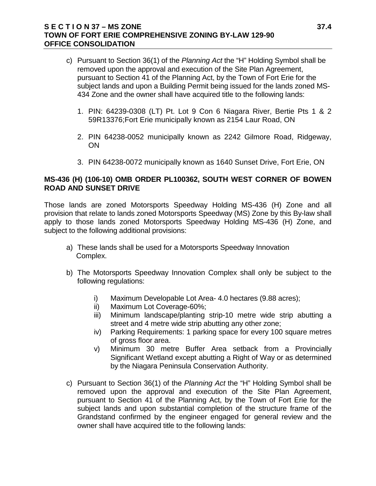## **S E C T I O N 37 – MS ZONE 37.4 TOWN OF FORT ERIE COMPREHENSIVE ZONING BY-LAW 129-90 OFFICE CONSOLIDATION**

- c) Pursuant to Section 36(1) of the *Planning Act* the "H" Holding Symbol shall be removed upon the approval and execution of the Site Plan Agreement, pursuant to Section 41 of the Planning Act, by the Town of Fort Erie for the subject lands and upon a Building Permit being issued for the lands zoned MS-434 Zone and the owner shall have acquired title to the following lands:
	- 1. PIN: 64239-0308 (LT) Pt. Lot 9 Con 6 Niagara River, Bertie Pts 1 & 2 59R13376;Fort Erie municipally known as 2154 Laur Road, ON
	- 2. PIN 64238-0052 municipally known as 2242 Gilmore Road, Ridgeway, ON
	- 3. PIN 64238-0072 municipally known as 1640 Sunset Drive, Fort Erie, ON

## **MS-436 (H) (106-10) OMB ORDER PL100362, SOUTH WEST CORNER OF BOWEN ROAD AND SUNSET DRIVE**

Those lands are zoned Motorsports Speedway Holding MS-436 (H) Zone and all provision that relate to lands zoned Motorsports Speedway (MS) Zone by this By-law shall apply to those lands zoned Motorsports Speedway Holding MS-436 (H) Zone, and subject to the following additional provisions:

- a) These lands shall be used for a Motorsports Speedway Innovation Complex.
- b) The Motorsports Speedway Innovation Complex shall only be subject to the following regulations:
	- i) Maximum Developable Lot Area- 4.0 hectares (9.88 acres);
	- ii) Maximum Lot Coverage-60%;
	- iii) Minimum landscape/planting strip-10 metre wide strip abutting a street and 4 metre wide strip abutting any other zone;
	- iv) Parking Requirements: 1 parking space for every 100 square metres of gross floor area.
	- v) Minimum 30 metre Buffer Area setback from a Provincially Significant Wetland except abutting a Right of Way or as determined by the Niagara Peninsula Conservation Authority.
- c) Pursuant to Section 36(1) of the *Planning Act* the "H" Holding Symbol shall be removed upon the approval and execution of the Site Plan Agreement, pursuant to Section 41 of the Planning Act, by the Town of Fort Erie for the subject lands and upon substantial completion of the structure frame of the Grandstand confirmed by the engineer engaged for general review and the owner shall have acquired title to the following lands: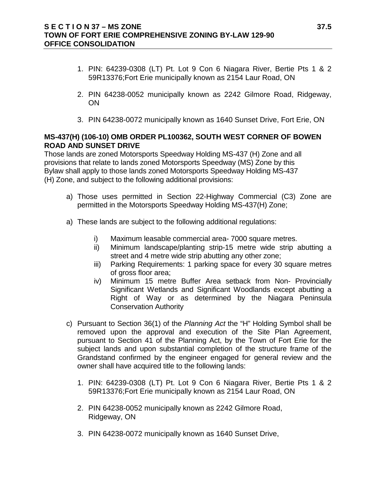- 1. PIN: 64239-0308 (LT) Pt. Lot 9 Con 6 Niagara River, Bertie Pts 1 & 2 59R13376;Fort Erie municipally known as 2154 Laur Road, ON
- 2. PIN 64238-0052 municipally known as 2242 Gilmore Road, Ridgeway, ON
- 3. PIN 64238-0072 municipally known as 1640 Sunset Drive, Fort Erie, ON

# **MS-437(H) (106-10) OMB ORDER PL100362, SOUTH WEST CORNER OF BOWEN ROAD AND SUNSET DRIVE**

Those lands are zoned Motorsports Speedway Holding MS-437 (H) Zone and all provisions that relate to lands zoned Motorsports Speedway (MS) Zone by this Bylaw shall apply to those lands zoned Motorsports Speedway Holding MS-437 (H) Zone, and subject to the following additional provisions:

- a) Those uses permitted in Section 22-Highway Commercial (C3) Zone are permitted in the Motorsports Speedway Holding MS-437(H) Zone;
- a) These lands are subject to the following additional regulations:
	- i) Maximum leasable commercial area- 7000 square metres.
	- ii) Minimum landscape/planting strip-15 metre wide strip abutting a street and 4 metre wide strip abutting any other zone;
	- iii) Parking Requirements: 1 parking space for every 30 square metres of gross floor area;
	- iv) Minimum 15 metre Buffer Area setback from Non- Provincially Significant Wetlands and Significant Woodlands except abutting a Right of Way or as determined by the Niagara Peninsula Conservation Authority
- c) Pursuant to Section 36(1) of the *Planning Act* the "H" Holding Symbol shall be removed upon the approval and execution of the Site Plan Agreement, pursuant to Section 41 of the Planning Act, by the Town of Fort Erie for the subject lands and upon substantial completion of the structure frame of the Grandstand confirmed by the engineer engaged for general review and the owner shall have acquired title to the following lands:
	- 1. PIN: 64239-0308 (LT) Pt. Lot 9 Con 6 Niagara River, Bertie Pts 1 & 2 59R13376;Fort Erie municipally known as 2154 Laur Road, ON
	- 2. PIN 64238-0052 municipally known as 2242 Gilmore Road, Ridgeway, ON
	- 3. PIN 64238-0072 municipally known as 1640 Sunset Drive,